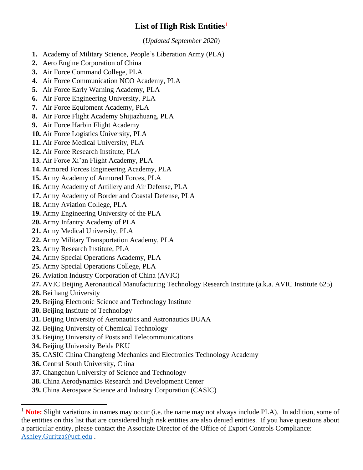## **List of High Risk Entities**<sup>1</sup>

(*Updated September 2020*)

- **1.** Academy of Military Science, People's Liberation Army (PLA)
- **2.** Aero Engine Corporation of China
- **3.** Air Force Command College, PLA
- **4.** Air Force Communication NCO Academy, PLA
- **5.** Air Force Early Warning Academy, PLA
- **6.** Air Force Engineering University, PLA
- **7.** Air Force Equipment Academy, PLA
- **8.** Air Force Flight Academy Shijiazhuang, PLA
- **9.** Air Force Harbin Flight Academy
- **10.** Air Force Logistics University, PLA
- **11.** Air Force Medical University, PLA
- **12.** Air Force Research Institute, PLA
- **13.** Air Force Xi'an Flight Academy, PLA
- **14.** Armored Forces Engineering Academy, PLA
- **15.** Army Academy of Armored Forces, PLA
- **16.** Army Academy of Artillery and Air Defense, PLA
- **17.** Army Academy of Border and Coastal Defense, PLA
- **18.** Army Aviation College, PLA
- **19.** Army Engineering University of the PLA
- **20.** Army Infantry Academy of PLA
- **21.** Army Medical University, PLA
- **22.** Army Military Transportation Academy, PLA
- **23.** Army Research Institute, PLA
- **24.** Army Special Operations Academy, PLA
- **25.** Army Special Operations College, PLA
- **26.** Aviation Industry Corporation of China (AVIC)
- **27.** AVIC Beijing Aeronautical Manufacturing Technology Research Institute (a.k.a. AVIC Institute 625)
- **28.** Bei hang University
- **29.** Beijing Electronic Science and Technology Institute
- **30.** Beijing Institute of Technology
- **31.** Beijing University of Aeronautics and Astronautics BUAA
- **32.** Beijing University of Chemical Technology
- **33.** Beijing University of Posts and Telecommunications
- **34.** Beijing University Beida PKU
- **35.** CASIC China Changfeng Mechanics and Electronics Technology Academy
- **36.** Central South University, China
- **37.** Changchun University of Science and Technology
- **38.** China Aerodynamics Research and Development Center
- **39.** China Aerospace Science and Industry Corporation (CASIC)

<sup>1</sup> **Note:** Slight variations in names may occur (i.e. the name may not always include PLA). In addition, some of the entities on this list that are considered high risk entities are also denied entities. If you have questions about a particular entity, please contact the Associate Director of the Office of Export Controls Compliance: [Ashley.Guritza@ucf.edu](mailto:Ashley.Guritza@ucf.edu) .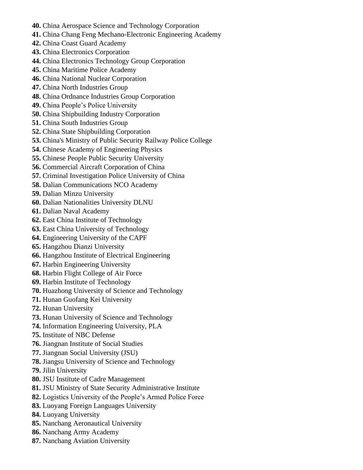- **40.** China Aerospace Science and Technology Corporation
- **41.** China Chang Feng Mechano-Electronic Engineering Academy
- **42.** China Coast Guard Academy
- **43.** China Electronics Corporation
- **44.** China Electronics Technology Group Corporation
- **45.** China Maritime Police Academy
- **46.** China National Nuclear Corporation
- **47.** China North Industries Group
- **48.** China Ordnance Industries Group Corporation
- **49.** China People's Police University
- **50.** China Shipbuilding Industry Corporation
- **51.** China South Industries Group
- **52.** China State Shipbuilding Corporation
- **53.** China's Ministry of Public Security Railway Police College
- **54.** Chinese Academy of Engineering Physics
- **55.** Chinese People Public Security University
- **56.** Commercial Aircraft Corporation of China
- **57.** Criminal Investigation Police University of China
- **58.** Dalian Communications NCO Academy
- **59.** Dalian Minzu University
- **60.** Dalian Nationalities University DLNU
- **61.** Dalian Naval Academy
- **62.** East China Institute of Technology
- **63.** East China University of Technology
- **64.** Engineering University of the CAPF
- **65.** Hangzhou Dianzi University
- **66.** Hangzhou Institute of Electrical Engineering
- **67.** Harbin Engineering University
- **68.** Harbin Flight College of Air Force
- **69.** Harbin Institute of Technology
- **70.** Huazhong University of Science and Technology
- **71.** Hunan Guofang Kei University
- **72.** Hunan University
- **73.** Hunan University of Science and Technology
- **74.** Information Engineering University, PLA
- **75.** Institute of NBC Defense
- **76.** Jiangnan Institute of Social Studies
- **77.** Jiangnan Social University (JSU)
- **78.** Jiangsu University of Science and Technology
- **79.** Jilin University
- **80.** JSU Institute of Cadre Management
- **81.** JSU Ministry of State Security Administrative Institute
- **82.** Logistics University of the People's Armed Police Force
- **83.** Luoyang Foreign Languages University
- **84.** Luoyang University
- **85.** Nanchang Aeronautical University
- **86.** Nanchang Army Academy
- **87.** Nanchang Aviation University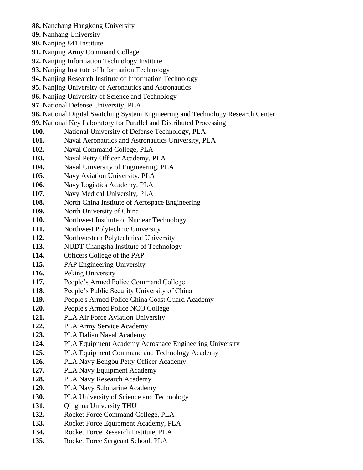- **88.** Nanchang Hangkong University
- **89.** Nanhang University
- **90.** Nanjing 841 Institute
- **91.** Nanjing Army Command College
- **92.** Nanjing Information Technology Institute
- **93.** Nanjing Institute of Information Technology
- **94.** Nanjing Research Institute of Information Technology
- **95.** Nanjing University of Aeronautics and Astronautics
- **96.** Nanjing University of Science and Technology
- **97.** National Defense University, PLA
- **98.** National Digital Switching System Engineering and Technology Research Center
- **99.** National Key Laboratory for Parallel and Distributed Processing
- **100.** National University of Defense Technology, PLA
- **101.** Naval Aeronautics and Astronautics University, PLA
- **102.** Naval Command College, PLA
- **103.** Naval Petty Officer Academy, PLA
- **104.** Naval University of Engineering, PLA
- **105.** Navy Aviation University, PLA
- **106.** Navy Logistics Academy, PLA
- **107.** Navy Medical University, PLA
- 108. North China Institute of Aerospace Engineering
- **109.** North University of China
- **110.** Northwest Institute of Nuclear Technology
- **111.** Northwest Polytechnic University
- **112.** Northwestern Polytechnical University
- **113.** NUDT Changsha Institute of Technology
- **114.** Officers College of the PAP
- **115.** PAP Engineering University
- **116.** Peking University
- **117.** People's Armed Police Command College
- **118.** People's Public Security University of China
- **119.** People's Armed Police China Coast Guard Academy
- **120.** People's Armed Police NCO College
- **121.** PLA Air Force Aviation University
- **122.** PLA Army Service Academy
- **123.** PLA Dalian Naval Academy
- **124.** PLA Equipment Academy Aerospace Engineering University
- **125.** PLA Equipment Command and Technology Academy
- **126.** PLA Navy Bengbu Petty Officer Academy
- **127.** PLA Navy Equipment Academy
- **128.** PLA Navy Research Academy
- **129.** PLA Navy Submarine Academy
- **130.** PLA University of Science and Technology
- **131.** Oinghua University THU
- **132.** Rocket Force Command College, PLA
- **133.** Rocket Force Equipment Academy, PLA
- **134.** Rocket Force Research Institute, PLA
- **135.** Rocket Force Sergeant School, PLA